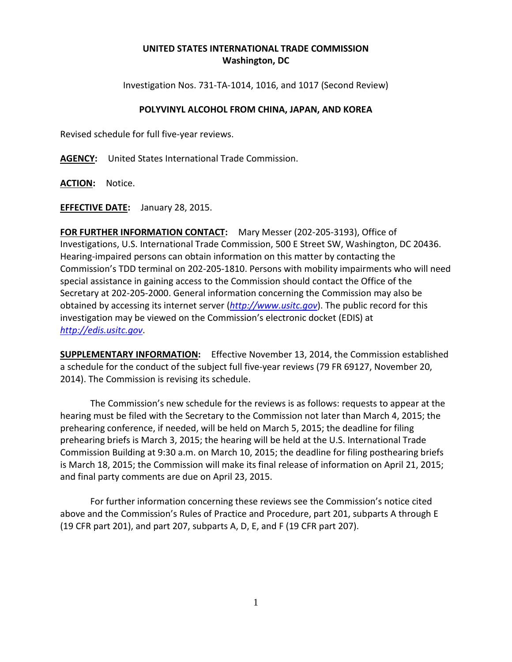## **UNITED STATES INTERNATIONAL TRADE COMMISSION Washington, DC**

Investigation Nos. 731-TA-1014, 1016, and 1017 (Second Review)

## **POLYVINYL ALCOHOL FROM CHINA, JAPAN, AND KOREA**

Revised schedule for full five-year reviews.

**AGENCY:** United States International Trade Commission.

**ACTION:** Notice.

**EFFECTIVE DATE:** January 28, 2015.

**FOR FURTHER INFORMATION CONTACT:** Mary Messer (202-205-3193), Office of Investigations, U.S. International Trade Commission, 500 E Street SW, Washington, DC 20436. Hearing-impaired persons can obtain information on this matter by contacting the Commission's TDD terminal on 202-205-1810. Persons with mobility impairments who will need special assistance in gaining access to the Commission should contact the Office of the Secretary at 202-205-2000. General information concerning the Commission may also be obtained by accessing its internet server (*[http://www.usitc.gov](http://www.usitc.gov/)*). The public record for this investigation may be viewed on the Commission's electronic docket (EDIS) at *[http://edis.usitc.gov](http://edis.usitc.gov/)*.

**SUPPLEMENTARY INFORMATION:** Effective November 13, 2014, the Commission established a schedule for the conduct of the subject full five-year reviews (79 FR 69127, November 20, 2014). The Commission is revising its schedule.

The Commission's new schedule for the reviews is as follows: requests to appear at the hearing must be filed with the Secretary to the Commission not later than March 4, 2015; the prehearing conference, if needed, will be held on March 5, 2015; the deadline for filing prehearing briefs is March 3, 2015; the hearing will be held at the U.S. International Trade Commission Building at 9:30 a.m. on March 10, 2015; the deadline for filing posthearing briefs is March 18, 2015; the Commission will make its final release of information on April 21, 2015; and final party comments are due on April 23, 2015.

For further information concerning these reviews see the Commission's notice cited above and the Commission's Rules of Practice and Procedure, part 201, subparts A through E (19 CFR part 201), and part 207, subparts A, D, E, and F (19 CFR part 207).